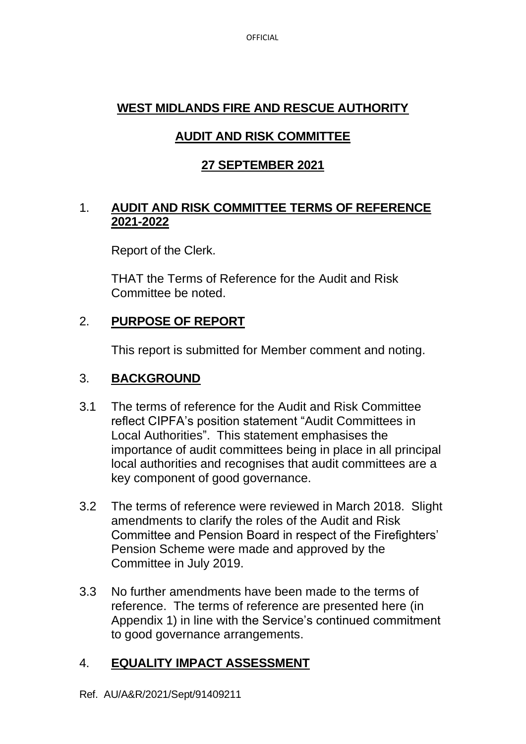**OFFICIAL** 

# **WEST MIDLANDS FIRE AND RESCUE AUTHORITY**

# **AUDIT AND RISK COMMITTEE**

# **27 SEPTEMBER 2021**

## 1. **AUDIT AND RISK COMMITTEE TERMS OF REFERENCE 2021-2022**

Report of the Clerk.

THAT the Terms of Reference for the Audit and Risk Committee be noted.

# 2. **PURPOSE OF REPORT**

This report is submitted for Member comment and noting.

## 3. **BACKGROUND**

- 3.1 The terms of reference for the Audit and Risk Committee reflect CIPFA's position statement "Audit Committees in Local Authorities". This statement emphasises the importance of audit committees being in place in all principal local authorities and recognises that audit committees are a key component of good governance.
- 3.2 The terms of reference were reviewed in March 2018. Slight amendments to clarify the roles of the Audit and Risk Committee and Pension Board in respect of the Firefighters' Pension Scheme were made and approved by the Committee in July 2019.
- 3.3 No further amendments have been made to the terms of reference. The terms of reference are presented here (in Appendix 1) in line with the Service's continued commitment to good governance arrangements.

# 4. **EQUALITY IMPACT ASSESSMENT**

Ref. AU/A&R/2021/Sept/91409211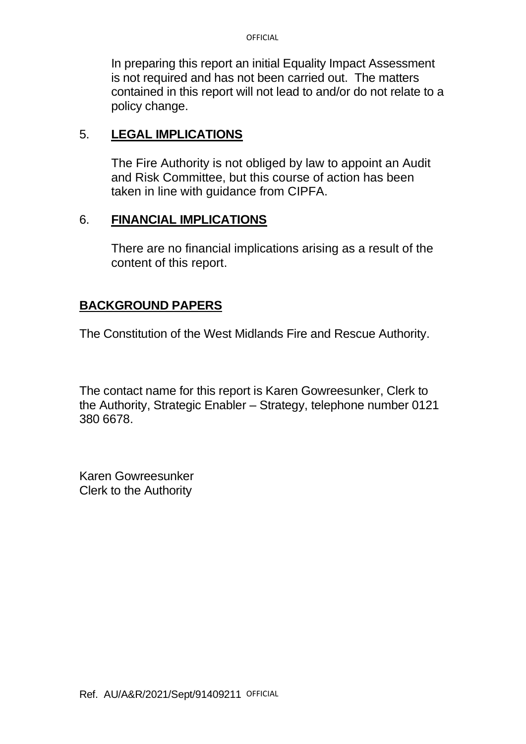In preparing this report an initial Equality Impact Assessment is not required and has not been carried out. The matters contained in this report will not lead to and/or do not relate to a policy change.

#### 5. **LEGAL IMPLICATIONS**

The Fire Authority is not obliged by law to appoint an Audit and Risk Committee, but this course of action has been taken in line with guidance from CIPFA.

#### 6. **FINANCIAL IMPLICATIONS**

There are no financial implications arising as a result of the content of this report.

### **BACKGROUND PAPERS**

The Constitution of the West Midlands Fire and Rescue Authority.

The contact name for this report is Karen Gowreesunker, Clerk to the Authority, Strategic Enabler – Strategy, telephone number 0121 380 6678.

Karen Gowreesunker Clerk to the Authority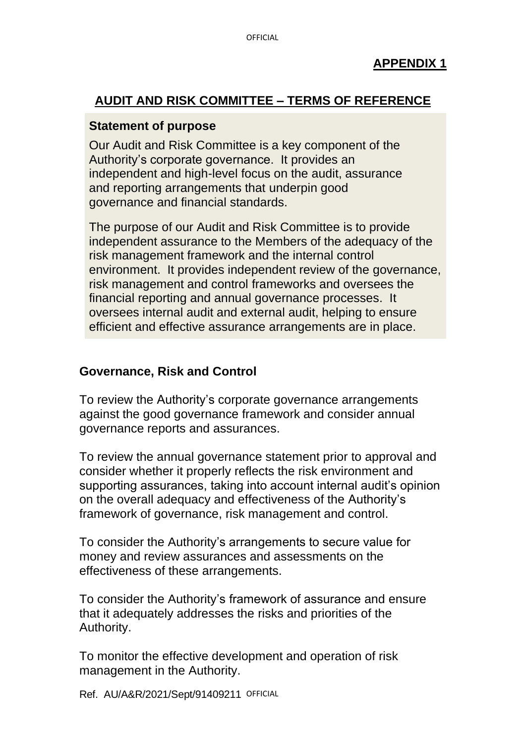# **AUDIT AND RISK COMMITTEE – TERMS OF REFERENCE**

#### **Statement of purpose**

Our Audit and Risk Committee is a key component of the Authority's corporate governance. It provides an independent and high-level focus on the audit, assurance and reporting arrangements that underpin good governance and financial standards.

The purpose of our Audit and Risk Committee is to provide independent assurance to the Members of the adequacy of the risk management framework and the internal control environment. It provides independent review of the governance, risk management and control frameworks and oversees the financial reporting and annual governance processes. It oversees internal audit and external audit, helping to ensure efficient and effective assurance arrangements are in place.

## **Governance, Risk and Control**

To review the Authority's corporate governance arrangements against the good governance framework and consider annual governance reports and assurances.

To review the annual governance statement prior to approval and consider whether it properly reflects the risk environment and supporting assurances, taking into account internal audit's opinion on the overall adequacy and effectiveness of the Authority's framework of governance, risk management and control.

To consider the Authority's arrangements to secure value for money and review assurances and assessments on the effectiveness of these arrangements.

To consider the Authority's framework of assurance and ensure that it adequately addresses the risks and priorities of the Authority.

To monitor the effective development and operation of risk management in the Authority.

Ref. AU/A&R/2021/Sept/91409211 OFFICIAL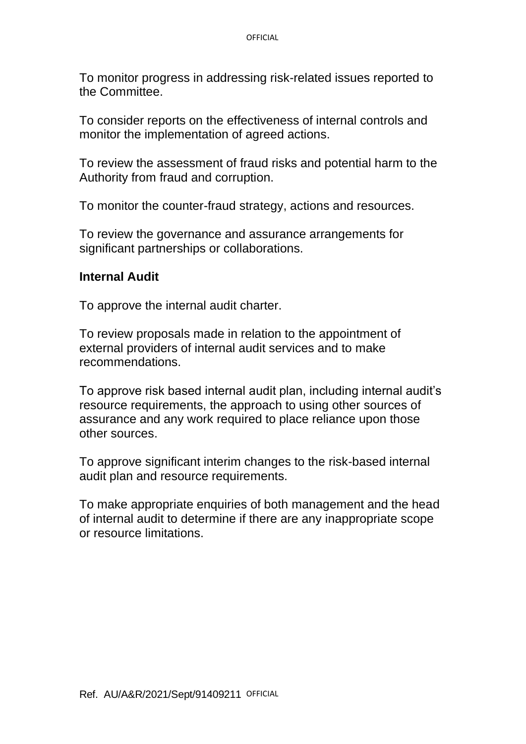To monitor progress in addressing risk-related issues reported to the Committee.

To consider reports on the effectiveness of internal controls and monitor the implementation of agreed actions.

To review the assessment of fraud risks and potential harm to the Authority from fraud and corruption.

To monitor the counter-fraud strategy, actions and resources.

To review the governance and assurance arrangements for significant partnerships or collaborations.

#### **Internal Audit**

To approve the internal audit charter.

To review proposals made in relation to the appointment of external providers of internal audit services and to make recommendations.

To approve risk based internal audit plan, including internal audit's resource requirements, the approach to using other sources of assurance and any work required to place reliance upon those other sources.

To approve significant interim changes to the risk-based internal audit plan and resource requirements.

To make appropriate enquiries of both management and the head of internal audit to determine if there are any inappropriate scope or resource limitations.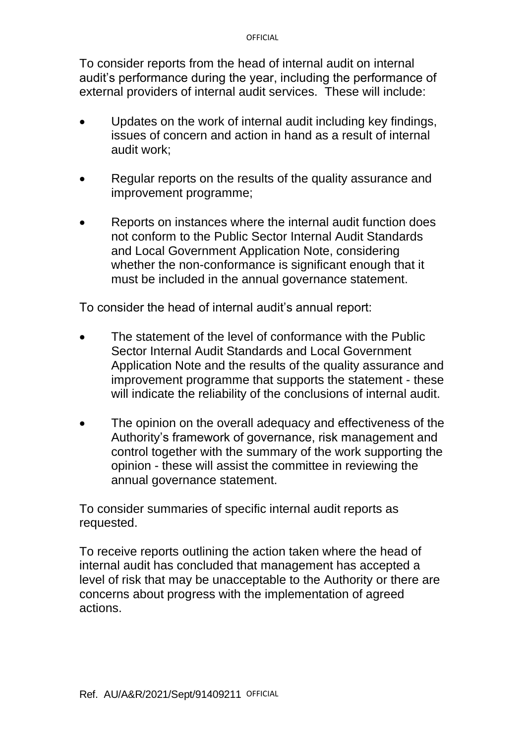To consider reports from the head of internal audit on internal audit's performance during the year, including the performance of external providers of internal audit services. These will include:

- Updates on the work of internal audit including key findings, issues of concern and action in hand as a result of internal audit work;
- Regular reports on the results of the quality assurance and improvement programme;
- Reports on instances where the internal audit function does not conform to the Public Sector Internal Audit Standards and Local Government Application Note, considering whether the non-conformance is significant enough that it must be included in the annual governance statement.

To consider the head of internal audit's annual report:

- The statement of the level of conformance with the Public Sector Internal Audit Standards and Local Government Application Note and the results of the quality assurance and improvement programme that supports the statement - these will indicate the reliability of the conclusions of internal audit.
- The opinion on the overall adequacy and effectiveness of the Authority's framework of governance, risk management and control together with the summary of the work supporting the opinion - these will assist the committee in reviewing the annual governance statement.

To consider summaries of specific internal audit reports as requested.

To receive reports outlining the action taken where the head of internal audit has concluded that management has accepted a level of risk that may be unacceptable to the Authority or there are concerns about progress with the implementation of agreed actions.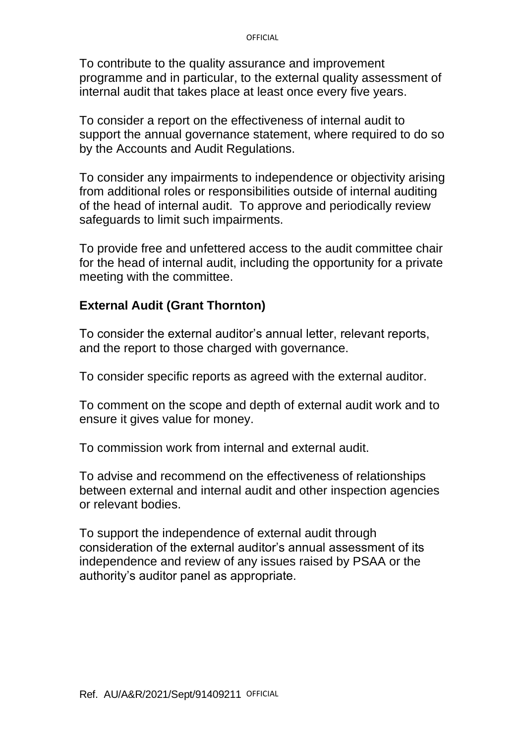#### **OFFICIAL**

To contribute to the quality assurance and improvement programme and in particular, to the external quality assessment of internal audit that takes place at least once every five years.

To consider a report on the effectiveness of internal audit to support the annual governance statement, where required to do so by the Accounts and Audit Regulations.

To consider any impairments to independence or objectivity arising from additional roles or responsibilities outside of internal auditing of the head of internal audit. To approve and periodically review safeguards to limit such impairments.

To provide free and unfettered access to the audit committee chair for the head of internal audit, including the opportunity for a private meeting with the committee.

## **External Audit (Grant Thornton)**

To consider the external auditor's annual letter, relevant reports, and the report to those charged with governance.

To consider specific reports as agreed with the external auditor.

To comment on the scope and depth of external audit work and to ensure it gives value for money.

To commission work from internal and external audit.

To advise and recommend on the effectiveness of relationships between external and internal audit and other inspection agencies or relevant bodies.

To support the independence of external audit through consideration of the external auditor's annual assessment of its independence and review of any issues raised by PSAA or the authority's auditor panel as appropriate.